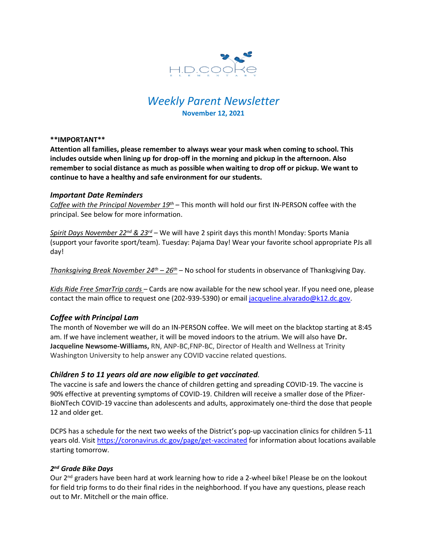

# *Weekly Parent Newsletter* **November 12, 2021**

#### **\*\*IMPORTANT\*\***

**Attention all families, please remember to always wear your mask when coming to school. This includes outside when lining up for drop-off in the morning and pickup in the afternoon. Also remember to social distance as much as possible when waiting to drop off or pickup. We want to continue to have a healthy and safe environment for our students.** 

## *Important Date Reminders*

*Coffee with the Principal November 19th* – This month will hold our first IN-PERSON coffee with the principal. See below for more information.

*Spirit Days November 22nd & 23rd* – We will have 2 spirit days this month! Monday: Sports Mania (support your favorite sport/team). Tuesday: Pajama Day! Wear your favorite school appropriate PJs all day!

*Thanksgiving Break November 24th – 26th* – No school for students in observance of Thanksgiving Day.

*Kids Ride Free SmarTrip cards* – Cards are now available for the new school year. If you need one, please contact the main office to request one (202-939-5390) or email [jacqueline.alvarado@k12.dc.gov.](mailto:jacqueline.alvarado@k12.dc.gov)

# *Coffee with Principal Lam*

The month of November we will do an IN-PERSON coffee. We will meet on the blacktop starting at 8:45 am. If we have inclement weather, it will be moved indoors to the atrium. We will also have **Dr. Jacqueline Newsome-Williams,** RN, ANP-BC,FNP-BC, Director of Health and Wellness at Trinity Washington University to help answer any COVID vaccine related questions.

## *Children 5 to 11 years old are now eligible to get vaccinated.*

The vaccine is safe and lowers the chance of children getting and spreading COVID-19. The vaccine is 90% effective at preventing symptoms of COVID-19. Children will receive a smaller dose of the Pfizer-BioNTech COVID-19 vaccine than adolescents and adults, approximately one-third the dose that people 12 and older get.

DCPS has a schedule for the next two weeks of the District's pop-up vaccination clinics for children 5-11 years old. Visit<https://coronavirus.dc.gov/page/get-vaccinated> for information about locations available starting tomorrow.

# *2 nd Grade Bike Days*

Our  $2<sup>nd</sup>$  graders have been hard at work learning how to ride a 2-wheel bike! Please be on the lookout for field trip forms to do their final rides in the neighborhood. If you have any questions, please reach out to Mr. Mitchell or the main office.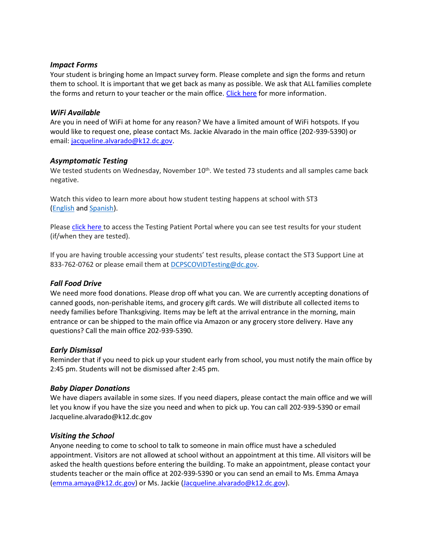# *Impact Forms*

Your student is bringing home an Impact survey form. Please complete and sign the forms and return them to school. It is important that we get back as many as possible. We ask that ALL families complete the forms and return to your teacher or the main office. [Click here](https://www.hdcookeschool.org/newsletters) for more information.

# *WiFi Available*

Are you in need of WiFi at home for any reason? We have a limited amount of WiFi hotspots. If you would like to request one, please contact Ms. Jackie Alvarado in the main office (202-939-5390) or email: [jacqueline.alvarado@k12.dc.gov.](mailto:jacqueline.alvarado@k12.dc.gov)

# *Asymptomatic Testing*

We tested students on Wednesday, November 10<sup>th</sup>. We tested 73 students and all samples came back negative.

Watch this video to learn more about how student testing happens at school with ST3 [\(English](https://urldefense.proofpoint.com/v2/url?u=https-3A__rise.articulate.com_share_-2Dq6MdIeo2V42boWuOGTu8i4-2DcT9E-5Fpjy-23_lessons_QicMYr-5FNcrCg54C5EtRyuC-2DwHJjQQVR2&d=DwMFAg&c=euGZstcaTDllvimEN8b7jXrwqOf-v5A_CdpgnVfiiMM&r=r7MsakikdNxOh-N_Ssj9mdJUMRjWvhYw18Eqx42UE40&m=-vbhK74dxdF3UGFM3KXX_Mk-PGWZWrPZHiFLh_rcYM0&s=470EC6i3UbApDRfaxDIuMzBPFqhzK2pNSc-krTjYzOw&e=) and [Spanish\)](https://urldefense.proofpoint.com/v2/url?u=https-3A__youtu.be_PRaXjkFlGGQ&d=DwMFAg&c=euGZstcaTDllvimEN8b7jXrwqOf-v5A_CdpgnVfiiMM&r=r7MsakikdNxOh-N_Ssj9mdJUMRjWvhYw18Eqx42UE40&m=-vbhK74dxdF3UGFM3KXX_Mk-PGWZWrPZHiFLh_rcYM0&s=yCXksETv2O2ZulcBl9cazNcOvmB9Inp-drZAlbuFkaw&e=).

Please click [here](https://shieldt3k12portal.pointnclick.com/login_login.aspx) to access the Testing Patient Portal where you can see test results for your student (if/when they are tested).

If you are having trouble accessing your students' test results, please contact the ST3 Support Line at 833-762-0762 or please email them at [DCPSCOVIDTesting@dc.gov.](mailto:DCPSCOVIDTesting@dc.gov)

# *Fall Food Drive*

We need more food donations. Please drop off what you can. We are currently accepting donations of canned goods, non-perishable items, and grocery gift cards. We will distribute all collected items to needy families before Thanksgiving. Items may be left at the arrival entrance in the morning, main entrance or can be shipped to the main office via Amazon or any grocery store delivery. Have any questions? Call the main office 202-939-5390.

## *Early Dismissal*

Reminder that if you need to pick up your student early from school, you must notify the main office by 2:45 pm. Students will not be dismissed after 2:45 pm.

## *Baby Diaper Donations*

We have diapers available in some sizes. If you need diapers, please contact the main office and we will let you know if you have the size you need and when to pick up. You can call 202-939-5390 or email Jacqueline.alvarado@k12.dc.gov

## *Visiting the School*

Anyone needing to come to school to talk to someone in main office must have a scheduled appointment. Visitors are not allowed at school without an appointment at this time. All visitors will be asked the health questions before entering the building. To make an appointment, please contact your students teacher or the main office at 202-939-5390 or you can send an email to Ms. Emma Amaya [\(emma.amaya@k12.dc.gov\)](mailto:emma.amaya@k12.dc.gov) or Ms. Jackie [\(Jacqueline.alvarado@k12.dc.gov\)](mailto:Jacqueline.alvarado@k12.dc.gov).